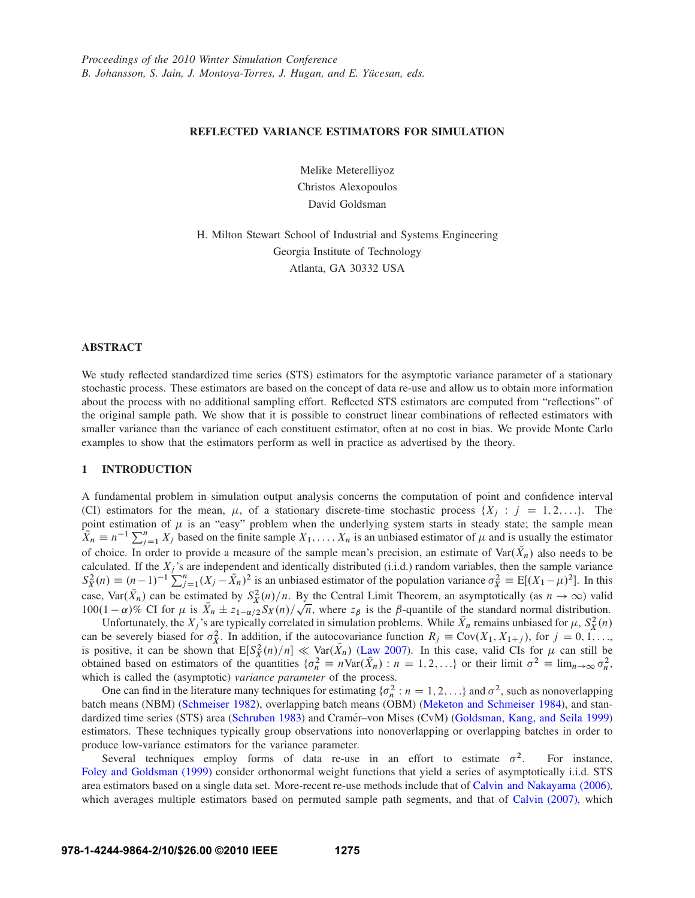## **REFLECTED VARIANCE ESTIMATORS FOR SIMULATION**

Melike Meterelliyoz Christos Alexopoulos David Goldsman

H. Milton Stewart School of Industrial and Systems Engineering Georgia Institute of Technology Atlanta, GA 30332 USA

## **ABSTRACT**

We study reflected standardized time series (STS) estimators for the asymptotic variance parameter of a stationary stochastic process. These estimators are based on the concept of data re-use and allow us to obtain more information about the process with no additional sampling effort. Reflected STS estimators are computed from "reflections" of the original sample path. We show that it is possible to construct linear combinations of reflected estimators with smaller variance than the variance of each constituent estimator, often at no cost in bias. We provide Monte Carlo examples to show that the estimators perform as well in practice as advertised by the theory.

## **1 INTRODUCTION**

A fundamental problem in simulation output analysis concerns the computation of point and confidence interval (CI) estimators for the mean,  $\mu$ , of a stationary discrete-time stochastic process  $\{X_j : j = 1, 2, ...\}$ . The point estimation of  $\mu$  is an "easy" problem when the underlying system starts in steady state; the sample mean  $\overline{X}_n \equiv n^{-1} \sum_{j=1}^n X_j$  based on the finite sample  $X_1, \ldots, X_n$  is an unbiased estimator of  $\mu$  and is usually the estimator of choice. In order to provide a measure of the sample mean's precision, an estimate of  $\text{Var}(X_n)$  also needs to be calculated. If the  $X_j$ 's are independent and identically distributed (i.i.d.) random variables, then the sample variance  $S_X^2(n) \equiv (n-1)^{-1} \sum_{j=1}^n (X_j - \bar{X}_n)^2$  is an unbiased estimator of the population variance  $\sigma_X^2 \equiv E[(X_1 - \mu)^2]$ . In this case, Var $(\bar{X}_n)$  can be estimated by  $S_X^2(n)/n$ . By the Central Limit Theorem, an asymptotically (as  $n \to \infty$ ) valid 100(1 –  $\alpha$ )% CI for  $\mu$  is  $\bar{X}_n \pm z_{1-\alpha/2}S_X(n)/\sqrt{n}$ , where  $z_\beta$  is the  $\beta$ -quantile of the standard normal distribution.

Unfortunately, the  $X_j$ 's are typically correlated in simulation problems. While  $\bar{X}_n$  remains unbiased for  $\mu$ ,  $S_X^2(n)$ can be severely biased for  $\sigma_X^2$ . In addition, if the autocovariance function  $R_j \equiv \text{Cov}(X_1, X_{1+j})$ , for  $j = 0, 1, \ldots$ is positive, it can be shown that  $E[S_X^2(n)/n] \ll \text{Var}(\bar{X}_n)$  (Law 2007). In this case, valid CIs for  $\mu$  can still be obtained based on estimators of the quantities  $\{\sigma_n^2 \equiv n\text{Var}(\bar{X}_n) : n = 1, 2, ...\}$  or their limit  $\sigma^2 \equiv \lim_{n \to \infty} \sigma_n^2$ , which is called the (asymptotic) *variance parameter* of the process.

One can find in the literature many techniques for estimating  $\{\sigma_n^2 : n = 1, 2, ...\}$  and  $\sigma^2$ , such as nonoverlapping batch means (NBM) (Schmeiser 1982), overlapping batch means (OBM) (Meketon and Schmeiser 1984), and standardized time series (STS) area (Schruben 1983) and Cramér–von Mises (CvM) (Goldsman, Kang, and Seila 1999) estimators. These techniques typically group observations into nonoverlapping or overlapping batches in order to produce low-variance estimators for the variance parameter.

Several techniques employ forms of data re-use in an effort to estimate  $\sigma^2$ . For instance, Foley and Goldsman (1999) consider orthonormal weight functions that yield a series of asymptotically i.i.d. STS area estimators based on a single data set. More-recent re-use methods include that of Calvin and Nakayama (2006), which averages multiple estimators based on permuted sample path segments, and that of Calvin (2007), which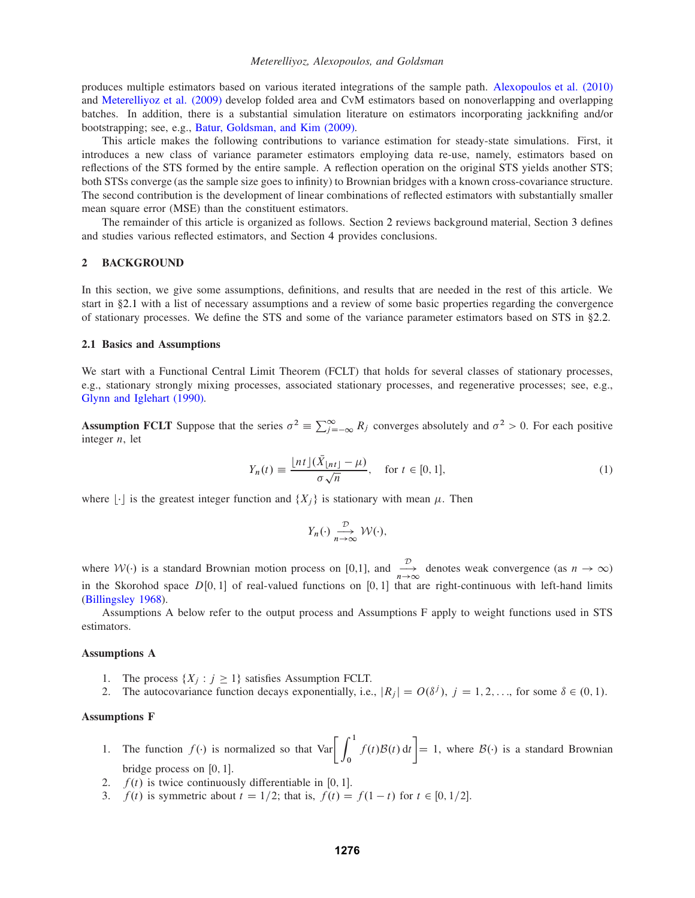produces multiple estimators based on various iterated integrations of the sample path. Alexopoulos et al. (2010) and Meterelliyoz et al. (2009) develop folded area and CvM estimators based on nonoverlapping and overlapping batches. In addition, there is a substantial simulation literature on estimators incorporating jackknifing and/or bootstrapping; see, e.g., Batur, Goldsman, and Kim (2009).

This article makes the following contributions to variance estimation for steady-state simulations. First, it introduces a new class of variance parameter estimators employing data re-use, namely, estimators based on reflections of the STS formed by the entire sample. A reflection operation on the original STS yields another STS; both STSs converge (as the sample size goes to infinity) to Brownian bridges with a known cross-covariance structure. The second contribution is the development of linear combinations of reflected estimators with substantially smaller mean square error (MSE) than the constituent estimators.

The remainder of this article is organized as follows. Section 2 reviews background material, Section 3 defines and studies various reflected estimators, and Section 4 provides conclusions.

## **2 BACKGROUND**

In this section, we give some assumptions, definitions, and results that are needed in the rest of this article. We start in §2.1 with a list of necessary assumptions and a review of some basic properties regarding the convergence of stationary processes. We define the STS and some of the variance parameter estimators based on STS in §2.2.

## **2.1 Basics and Assumptions**

We start with a Functional Central Limit Theorem (FCLT) that holds for several classes of stationary processes, e.g., stationary strongly mixing processes, associated stationary processes, and regenerative processes; see, e.g., Glynn and Iglehart (1990).

**Assumption FCLT** Suppose that the series  $\sigma^2 \equiv \sum_{j=-\infty}^{\infty} R_j$  converges absolutely and  $\sigma^2 > 0$ . For each positive integer  $n$ , let

$$
Y_n(t) \equiv \frac{\lfloor nt \rfloor (\bar{X}_{\lfloor nt \rfloor} - \mu)}{\sigma \sqrt{n}}, \quad \text{for } t \in [0, 1], \tag{1}
$$

where  $|\cdot|$  is the greatest integer function and  $\{X_i\}$  is stationary with mean  $\mu$ . Then

$$
Y_n(\cdot) \xrightarrow[n \to \infty]{\mathcal{D}} \mathcal{W}(\cdot),
$$

where  $W(\cdot)$  is a standard Brownian motion process on [0,1], and  $\frac{\mathcal{D}}{n\to\infty}$  denotes weak convergence (as  $n \to \infty$ ) in the Skorohod space  $D[0, 1]$  of real-valued functions on [0, 1] that are right-continuous with (Billingsley 1968).

Assumptions A below refer to the output process and Assumptions F apply to weight functions used in STS estimators.

#### **Assumptions A**

- 1. The process  $\{X_i : j \geq 1\}$  satisfies Assumption FCLT.
- 2. The autocovariance function decays exponentially, i.e.,  $|R_j| = O(\delta^j)$ ,  $j = 1, 2, ...,$  for some  $\delta \in (0, 1)$ .

## **Assumptions F**

- 1. The function  $f(\cdot)$  is normalized so that  $\text{Var}\left[\int_0^1 f(t)\mathcal{B}(t) dt\right] = 1$ , where  $\mathcal{B}(\cdot)$  is a standard Brownian bridge process on  $[0, 1]$ .
- 2.  $f(t)$  is twice continuously differentiable in [0, 1].
- 3.  $f(t)$  is symmetric about  $t = 1/2$ ; that is,  $f(t) = f(1-t)$  for  $t \in [0, 1/2]$ .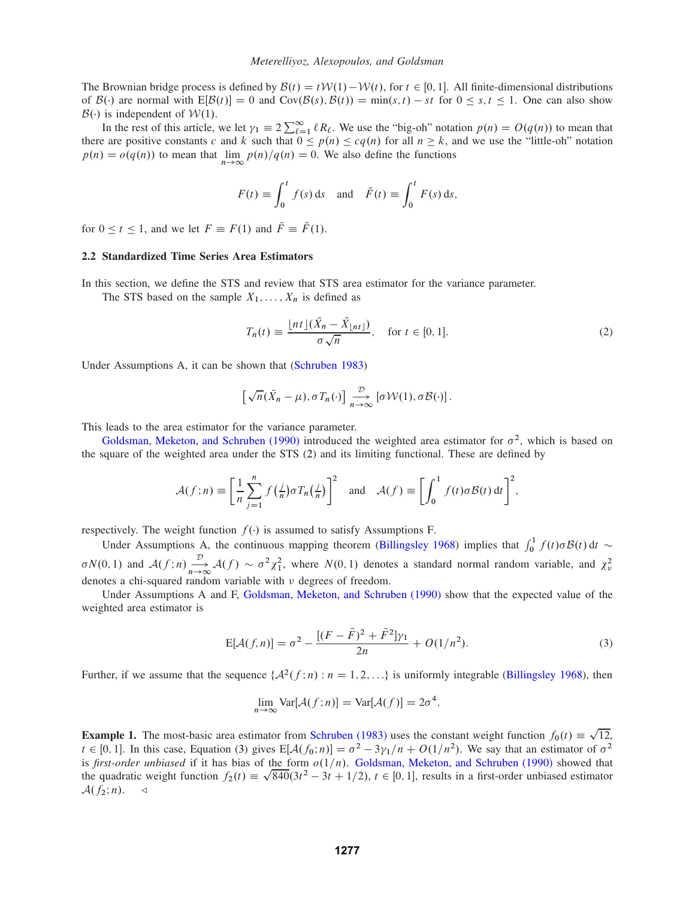The Brownian bridge process is defined by  $\mathcal{B}(t) = t \mathcal{W}(1) - \mathcal{W}(t)$ , for  $t \in [0, 1]$ . All finite-dimensional distributions of  $\mathcal{B}(\cdot)$  are normal with  $E[\mathcal{B}(t)] = 0$  and  $Cov(\mathcal{B}(s), \mathcal{B}(t)) = min(s, t) - st$  for  $0 \le s, t \le 1$ . One can also show  $\mathcal{B}(\cdot)$  is independent of  $\mathcal{W}(1)$ .

In the rest of this article, we let  $\gamma_1 \equiv 2 \sum_{\ell=1}^{\infty} \ell R_{\ell}$ . We use the "big-oh" notation  $p(n) = O(q(n))$  to mean that there are positive constants c and k such that  $0 \le p(n) \le cq(n)$  for all  $n \ge k$ , and we use the "little-oh" notation  $p(n) = o(q(n))$  to mean that  $\lim_{n \to \infty} p(n)/q(n) = 0$ . We also define the functions

$$
F(t) \equiv \int_0^t f(s) \, \mathrm{d}s \quad \text{and} \quad \bar{F}(t) \equiv \int_0^t F(s) \, \mathrm{d}s,
$$

for  $0 \le t \le 1$ , and we let  $F \equiv F(1)$  and  $\overline{F} \equiv \overline{F}(1)$ .

## **2.2 Standardized Time Series Area Estimators**

In this section, we define the STS and review that STS area estimator for the variance parameter.

The STS based on the sample  $X_1, \ldots, X_n$  is defined as

$$
T_n(t) \equiv \frac{\lfloor nt \rfloor (\bar{X}_n - \bar{X}_{\lfloor nt \rfloor})}{\sigma \sqrt{n}}, \quad \text{for } t \in [0, 1].
$$
 (2)

Under Assumptions A, it can be shown that (Schruben 1983)

$$
\left[\sqrt{n}(\bar{X}_n-\mu),\sigma T_n(\cdot)\right]\underset{n\to\infty}{\overset{\mathcal{D}}{\longrightarrow}}\left[\sigma \mathcal{W}(1),\sigma \mathcal{B}(\cdot)\right].
$$

This leads to the area estimator for the variance parameter.

Goldsman, Meketon, and Schruben (1990) introduced the weighted area estimator for  $\sigma^2$ , which is based on the square of the weighted area under the STS (2) and its limiting functional. These are defined by

$$
\mathcal{A}(f;n) \equiv \left[\frac{1}{n}\sum_{j=1}^{n} f\left(\frac{j}{n}\right) \sigma T_n\left(\frac{j}{n}\right)\right]^2 \text{ and } \mathcal{A}(f) \equiv \left[\int_0^1 f(t) \sigma \mathcal{B}(t) dt\right]^2,
$$

respectively. The weight function  $f(\cdot)$  is assumed to satisfy Assumptions F.

Under Assumptions A, the continuous mapping theorem (Billingsley 1968) implies that  $\int_0^1 f(t)\sigma \mathcal{B}(t) dt \sim$  $\sigma N(0,1)$  and  $\mathcal{A}(f;n) \xrightarrow[n \to \infty]{} \mathcal{A}(f) \sim \sigma^2 \chi_1^2$ , where  $N(0,1)$  denotes a standard normal random variable, and  $\chi^2_{\nu}$ denotes a chi-squared random variable with  $\nu$  degrees of freedom.

Under Assumptions A and F, Goldsman, Meketon, and Schruben (1990) show that the expected value of the weighted area estimator is

$$
E[\mathcal{A}(f,n)] = \sigma^2 - \frac{[(F - \bar{F})^2 + \bar{F}^2]\gamma_1}{2n} + O(1/n^2). \tag{3}
$$

Further, if we assume that the sequence  ${A^2(f:n) : n = 1, 2, \ldots}$  is uniformly integrable (Billingsley 1968), then

$$
\lim_{n \to \infty} \text{Var}[\mathcal{A}(f; n)] = \text{Var}[\mathcal{A}(f)] = 2\sigma^4.
$$

**Example 1.** The most-basic area estimator from Schruben (1983) uses the constant weight function  $f_0(t) = \sqrt{12}$ ,  $t \in [0, 1]$ . In this case, Equation (3) gives  $E[A(f_0; n)] = \sigma^2 - 3\gamma_1/n + O(1/n^2)$ . We say that an estimator of  $\sigma^2$ is *first-order unbiased* if it has bias of the form  $o(1/n)$ . Goldsman, Meketon, and Schruben (1990) showed that the quadratic weight function  $f_2(t) \equiv \sqrt{840}(3t^2 - 3t + 1/2), t \in [0, 1]$ , results in a first-order unbiased estimator  $\mathcal{A}(f_2;n)$ .  $\triangleleft$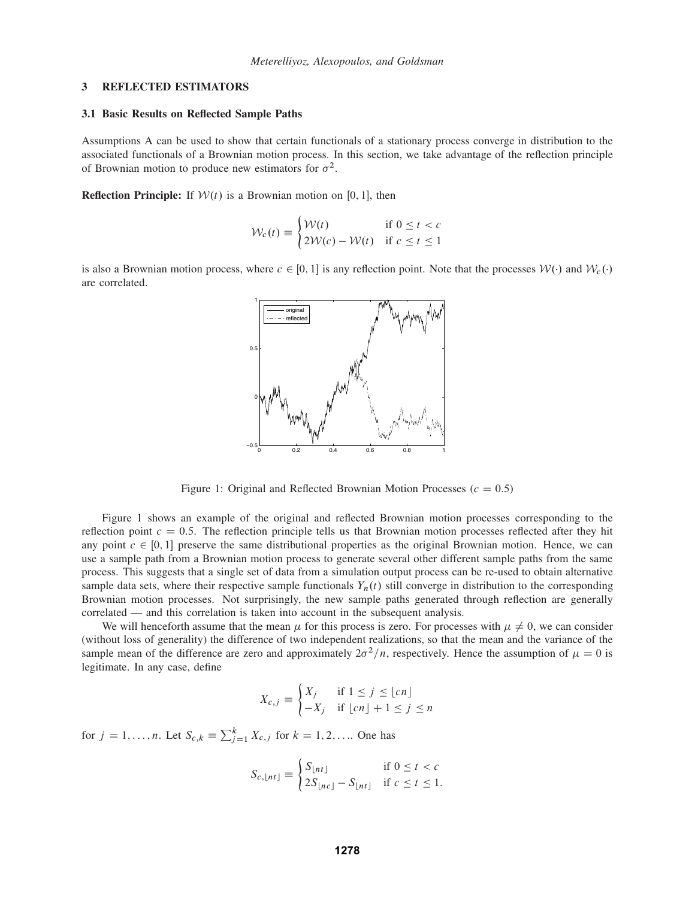#### **3 REFLECTED ESTIMATORS**

#### **3.1 Basic Results on Reflected Sample Paths**

Assumptions A can be used to show that certain functionals of a stationary process converge in distribution to the associated functionals of a Brownian motion process. In this section, we take advantage of the reflection principle of Brownian motion to produce new estimators for  $\sigma^2$ .

**Reflection Principle:** If  $W(t)$  is a Brownian motion on [0, 1], then

$$
\mathcal{W}_c(t) \equiv \begin{cases} \mathcal{W}(t) & \text{if } 0 \le t < c \\ 2\mathcal{W}(c) - \mathcal{W}(t) & \text{if } c \le t \le 1 \end{cases}
$$

is also a Brownian motion process, where  $c \in [0, 1]$  is any reflection point. Note that the processes  $\mathcal{W}(\cdot)$  and  $\mathcal{W}_c(\cdot)$ are correlated.



Figure 1: Original and Reflected Brownian Motion Processes ( $c = 0.5$ )

Figure 1 shows an example of the original and reflected Brownian motion processes corresponding to the reflection point  $c = 0.5$ . The reflection principle tells us that Brownian motion processes reflected after they hit any point  $c \in [0, 1]$  preserve the same distributional properties as the original Brownian motion. Hence, we can use a sample path from a Brownian motion process to generate several other different sample paths from the same process. This suggests that a single set of data from a simulation output process can be re-used to obtain alternative sample data sets, where their respective sample functionals  $Y_n(t)$  still converge in distribution to the corresponding Brownian motion processes. Not surprisingly, the new sample paths generated through reflection are generally correlated — and this correlation is taken into account in the subsequent analysis.

We will henceforth assume that the mean  $\mu$  for this process is zero. For processes with  $\mu \neq 0$ , we can consider (without loss of generality) the difference of two independent realizations, so that the mean and the variance of the sample mean of the difference are zero and approximately  $2\sigma^2/n$ , respectively. Hence the assumption of  $\mu = 0$  is legitimate. In any case, define

$$
X_{c,j} \equiv \begin{cases} X_j & \text{if } 1 \le j \le \lfloor cn \rfloor \\ -X_j & \text{if } \lfloor cn \rfloor + 1 \le j \le n \end{cases}
$$

for  $j = 1, ..., n$ . Let  $S_{c,k} \equiv \sum_{j=1}^{k} X_{c,j}$  for  $k = 1, 2, ...$  One has

$$
S_{c, \lfloor nt \rfloor} \equiv \begin{cases} S_{\lfloor nt \rfloor} & \text{if } 0 \le t < c \\ 2S_{\lfloor nt \rfloor} - S_{\lfloor nt \rfloor} & \text{if } c \le t \le 1. \end{cases}
$$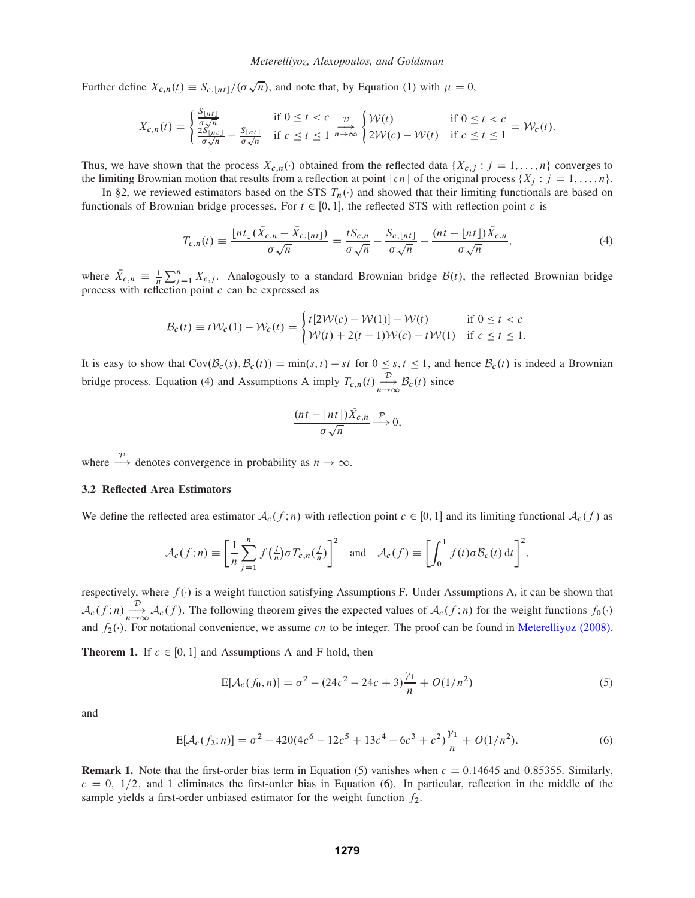Further define  $X_{c,n}(t)\equiv S_{c,n}t/\left(\sigma\sqrt{n}\right)$ , and note that, by Equation (1) with  $\mu=0$ ,

$$
X_{c,n}(t) = \begin{cases} \frac{S_{\lfloor nt \rfloor}}{\sigma \sqrt{n}} & \text{if } 0 \le t < c \\ \frac{2S_{\lfloor nt \rfloor}}{\sigma \sqrt{n}} - \frac{S_{\lfloor nt \rfloor}}{\sigma \sqrt{n}} & \text{if } c \le t \le 1 \end{cases} \xrightarrow{n \to \infty} \begin{cases} \mathcal{W}(t) & \text{if } 0 \le t < c \\ 2\mathcal{W}(c) - \mathcal{W}(t) & \text{if } c \le t \le 1 \end{cases} = \mathcal{W}_c(t).
$$

Thus, we have shown that the process  $X_{c,n}(\cdot)$  obtained from the reflected data  $\{X_{c,j} : j = 1, \ldots, n\}$  converges to the limiting Brownian motion that results from a reflection at point  $\lfloor cn \rfloor$  of the original process  $\{X_j : j = 1, ..., n\}$ .

In §2, we reviewed estimators based on the STS  $T_n(\cdot)$  and showed that their limiting functionals are based on functionals of Brownian bridge processes. For  $t \in [0, 1]$ , the reflected STS with reflection point c is

$$
T_{c,n}(t) \equiv \frac{\lfloor nt \rfloor (\bar{X}_{c,n} - \bar{X}_{c,\lfloor nt \rfloor})}{\sigma \sqrt{n}} = \frac{tS_{c,n}}{\sigma \sqrt{n}} - \frac{S_{c,\lfloor nt \rfloor}}{\sigma \sqrt{n}} - \frac{(nt - \lfloor nt \rfloor) \bar{X}_{c,n}}{\sigma \sqrt{n}},\tag{4}
$$

where  $\bar{X}_{c,n} \equiv \frac{1}{n} \sum_{j=1}^{n} X_{c,j}$ . Analogously to a standard Brownian bridge  $\mathcal{B}(t)$ , the reflected Brownian bridge process with reflection point c can be expressed as

$$
\mathcal{B}_c(t) \equiv t \mathcal{W}_c(1) - \mathcal{W}_c(t) = \begin{cases} t[2\mathcal{W}(c) - \mathcal{W}(1)] - \mathcal{W}(t) & \text{if } 0 \le t < c \\ \mathcal{W}(t) + 2(t - 1)\mathcal{W}(c) - t\mathcal{W}(1) & \text{if } c \le t \le 1. \end{cases}
$$

It is easy to show that  $Cov(B_c(s), B_c(t)) = min(s, t) - st$  for  $0 \le s, t \le 1$ , and hence  $B_c(t)$  is indeed a Brownian bridge process. Equation (4) and Assumptions A imply  $T_{c,n}(t) \xrightarrow[n \to \infty]{\mathcal{D}} \mathcal{B}_c(t)$  since

$$
\frac{(nt - \lfloor nt \rfloor)\bar{X}_{c,n}}{\sigma\sqrt{n}} \xrightarrow{\mathcal{P}} 0,
$$

where  $\stackrel{\mathcal{P}}{\longrightarrow}$  denotes convergence in probability as  $n \to \infty$ .

#### **3.2 Reflected Area Estimators**

We define the reflected area estimator  $A_c(f; n)$  with reflection point  $c \in [0, 1]$  and its limiting functional  $A_c(f)$  as

$$
\mathcal{A}_c(f;n) \equiv \left[\frac{1}{n}\sum_{j=1}^n f\left(\frac{j}{n}\right)\sigma T_{c,n}\left(\frac{j}{n}\right)\right]^2 \quad \text{and} \quad \mathcal{A}_c(f) \equiv \left[\int_0^1 f(t)\sigma \mathcal{B}_c(t) dt\right]^2,
$$

respectively, where  $f(.)$  is a weight function satisfying Assumptions F. Under Assumptions A, it can be shown that  $\mathcal{A}_{c}(f; n) \xrightarrow{n \to \infty} \mathcal{A}_{c}(f)$ . The following theorem gives the expected values of  $\mathcal{A}_{c}(f; n)$  for the weight functions  $f_0(\cdot)$ and  $f_2(\cdot)$ . For notational convenience, we assume cn to be integer. The proof can be found in Meterelliyoz (2008).

**Theorem 1.** If  $c \in [0, 1]$  and Assumptions A and F hold, then

$$
E[\mathcal{A}_c(f_0, n)] = \sigma^2 - (24c^2 - 24c + 3)\frac{\gamma_1}{n} + O(1/n^2)
$$
\n(5)

and

$$
E[\mathcal{A}_c(f_2; n)] = \sigma^2 - 420(4c^6 - 12c^5 + 13c^4 - 6c^3 + c^2)\frac{\gamma_1}{n} + O(1/n^2). \tag{6}
$$

**Remark 1.** Note that the first-order bias term in Equation (5) vanishes when  $c = 0.14645$  and 0.85355. Similarly,  $c = 0$ ,  $1/2$ , and 1 eliminates the first-order bias in Equation (6). In particular, reflection in the middle of the sample yields a first-order unbiased estimator for the weight function  $f_2$ .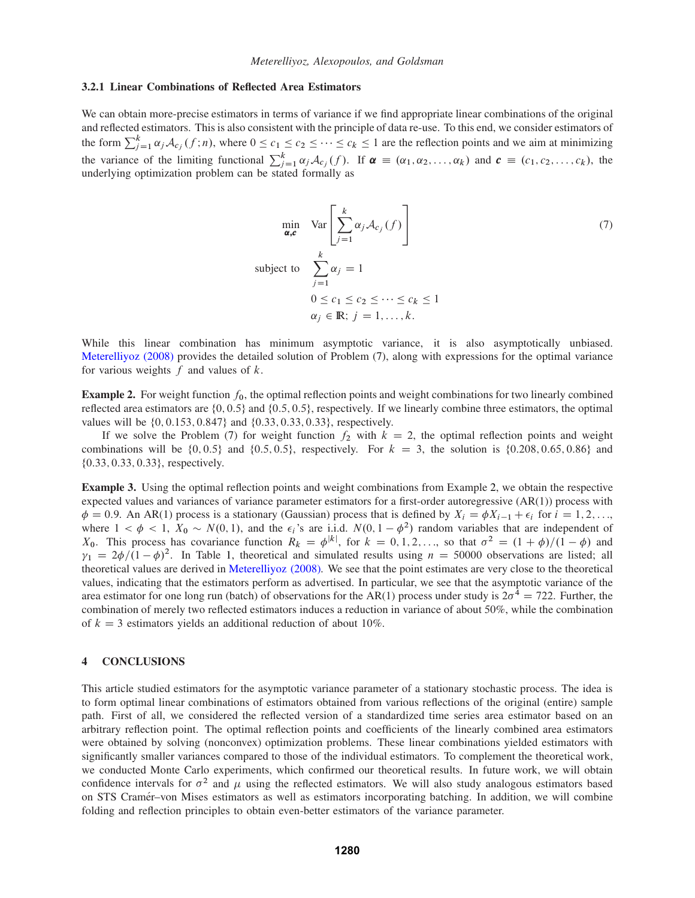## **3.2.1 Linear Combinations of Reflected Area Estimators**

We can obtain more-precise estimators in terms of variance if we find appropriate linear combinations of the original and reflected estimators. This is also consistent with the principle of data re-use. To this end, we consider estimators of the form  $\sum_{j=1}^{k} \alpha_j \mathcal{A}_{c_j}(f; n)$ , where  $0 \le c_1 \le c_2 \le \cdots \le c_k \le 1$  are the reflection points and we aim at minimizing the variance of the limiting functional  $\sum_{j=1}^{k} \alpha_j \mathcal{A}_{c_j}(f)$ . If  $\boldsymbol{\alpha} \equiv (\alpha_1, \alpha_2, \dots, \alpha_k)$  and  $\boldsymbol{c} \equiv (c_1, c_2, \dots, c_k)$ , the underlying optimization problem can be stated formally as

$$
\min_{\alpha,c} \quad \text{Var}\left[\sum_{j=1}^{k} \alpha_j \mathcal{A}_{c_j}(f)\right]
$$
\n
$$
\text{subject to} \quad \sum_{j=1}^{k} \alpha_j = 1
$$
\n
$$
0 \le c_1 \le c_2 \le \dots \le c_k \le 1
$$
\n
$$
\alpha_j \in \mathbb{R}; j = 1, \dots, k.
$$
\n(7)

While this linear combination has minimum asymptotic variance, it is also asymptotically unbiased. Meterelliyoz (2008) provides the detailed solution of Problem (7), along with expressions for the optimal variance for various weights  $f$  and values of  $k$ .

**Example 2.** For weight function  $f_0$ , the optimal reflection points and weight combinations for two linearly combined reflected area estimators are  $\{0, 0.5\}$  and  $\{0.5, 0.5\}$ , respectively. If we linearly combine three estimators, the optimal values will be  $\{0, 0.153, 0.847\}$  and  $\{0.33, 0.33, 0.33\}$ , respectively.

If we solve the Problem (7) for weight function  $f_2$  with  $k = 2$ , the optimal reflection points and weight combinations will be  $\{0, 0.5\}$  and  $\{0.5, 0.5\}$ , respectively. For  $k = 3$ , the solution is  $\{0.208, 0.65, 0.86\}$  and  $\{0.33, 0.33, 0.33\}$ , respectively.

**Example 3.** Using the optimal reflection points and weight combinations from Example 2, we obtain the respective expected values and variances of variance parameter estimators for a first-order autoregressive (AR(1)) process with  $\phi = 0.9$ . An AR(1) process is a stationary (Gaussian) process that is defined by  $X_i = \phi X_{i-1} + \epsilon_i$  for  $i = 1, 2, \ldots$ where  $1 < \phi < 1$ ,  $X_0 \sim N(0, 1)$ , and the  $\epsilon_i$ 's are i.i.d.  $N(0, 1 - \phi^2)$  random variables that are independent of  $X_0$ . This process has covariance function  $R_k = \phi^{|k|}$ , for  $k = 0, 1, 2, \dots$ , so that  $\sigma^2 = (1 + \phi)/(1 - \phi)$  and  $\gamma_1 = 2\phi/(1 - \phi)^2$ . In Table 1, theoretical and simulated results using  $n = 50000$  observations are listed; all theoretical values are derived in Meterelliyoz (2008). We see that the point estimates are very close to the theoretical values, indicating that the estimators perform as advertised. In particular, we see that the asymptotic variance of the area estimator for one long run (batch) of observations for the AR(1) process under study is  $2\sigma^4 = 722$ . Further, the combination of merely two reflected estimators induces a reduction in variance of about 50%, while the combination of  $k = 3$  estimators yields an additional reduction of about 10%.

#### **4 CONCLUSIONS**

This article studied estimators for the asymptotic variance parameter of a stationary stochastic process. The idea is to form optimal linear combinations of estimators obtained from various reflections of the original (entire) sample path. First of all, we considered the reflected version of a standardized time series area estimator based on an arbitrary reflection point. The optimal reflection points and coefficients of the linearly combined area estimators were obtained by solving (nonconvex) optimization problems. These linear combinations yielded estimators with significantly smaller variances compared to those of the individual estimators. To complement the theoretical work, we conducted Monte Carlo experiments, which confirmed our theoretical results. In future work, we will obtain confidence intervals for  $\sigma^2$  and  $\mu$  using the reflected estimators. We will also study analogous estimators based on STS Cramér–von Mises estimators as well as estimators incorporating batching. In addition, we will combine folding and reflection principles to obtain even-better estimators of the variance parameter.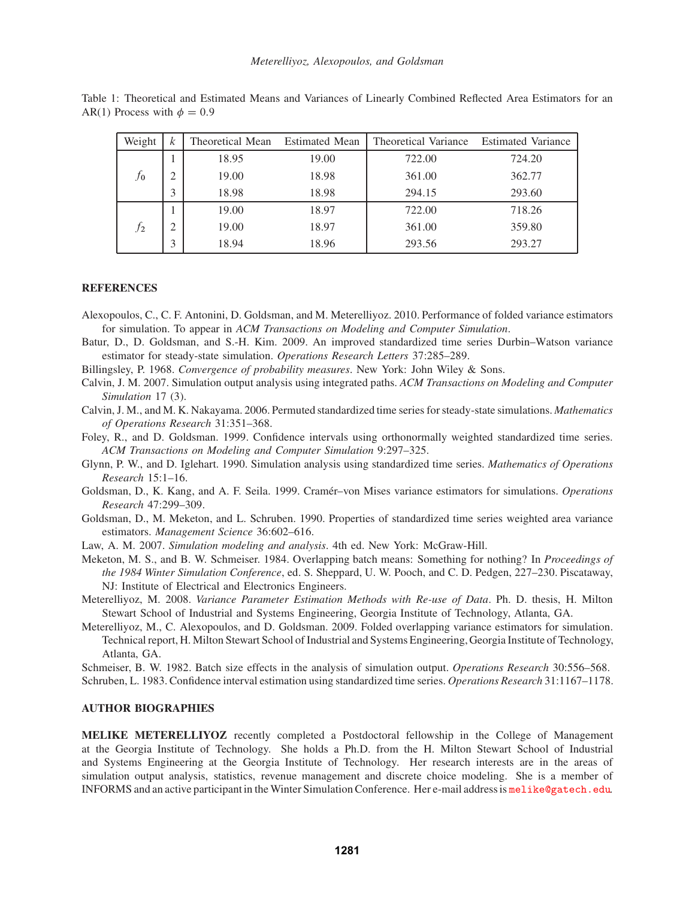| Weight         | k              | Theoretical Mean Estimated Mean |       | Theoretical Variance Estimated Variance |        |
|----------------|----------------|---------------------------------|-------|-----------------------------------------|--------|
| $\tau_0$       |                | 18.95                           | 19.00 | 722.00                                  | 724.20 |
|                | $\overline{2}$ | 19.00                           | 18.98 | 361.00                                  | 362.77 |
|                | 3              | 18.98                           | 18.98 | 294.15                                  | 293.60 |
| f <sub>2</sub> |                | 19.00                           | 18.97 | 722.00                                  | 718.26 |
|                | $\mathcal{D}$  | 19.00                           | 18.97 | 361.00                                  | 359.80 |
|                |                | 18.94                           | 18.96 | 293.56                                  | 293.27 |

Table 1: Theoretical and Estimated Means and Variances of Linearly Combined Reflected Area Estimators for an AR(1) Process with  $\phi = 0.9$ 

# **REFERENCES**

- Alexopoulos, C., C. F. Antonini, D. Goldsman, and M. Meterelliyoz. 2010. Performance of folded variance estimators for simulation. To appear in *ACM Transactions on Modeling and Computer Simulation*.
- Batur, D., D. Goldsman, and S.-H. Kim. 2009. An improved standardized time series Durbin–Watson variance estimator for steady-state simulation. *Operations Research Letters* 37:285–289.
- Billingsley, P. 1968. *Convergence of probability measures*. New York: John Wiley & Sons.
- Calvin, J. M. 2007. Simulation output analysis using integrated paths. *ACM Transactions on Modeling and Computer Simulation* 17 (3).

Calvin, J. M., and M. K. Nakayama. 2006. Permuted standardized time series for steady-state simulations. *Mathematics of Operations Research* 31:351–368.

Foley, R., and D. Goldsman. 1999. Confidence intervals using orthonormally weighted standardized time series. *ACM Transactions on Modeling and Computer Simulation* 9:297–325.

- Glynn, P. W., and D. Iglehart. 1990. Simulation analysis using standardized time series. *Mathematics of Operations Research* 15:1–16.
- Goldsman, D., K. Kang, and A. F. Seila. 1999. Cramér–von Mises variance estimators for simulations. *Operations Research* 47:299–309.
- Goldsman, D., M. Meketon, and L. Schruben. 1990. Properties of standardized time series weighted area variance estimators. *Management Science* 36:602–616.

Law, A. M. 2007. *Simulation modeling and analysis*. 4th ed. New York: McGraw-Hill.

- Meketon, M. S., and B. W. Schmeiser. 1984. Overlapping batch means: Something for nothing? In *Proceedings of the 1984 Winter Simulation Conference*, ed. S. Sheppard, U. W. Pooch, and C. D. Pedgen, 227–230. Piscataway, NJ: Institute of Electrical and Electronics Engineers.
- Meterelliyoz, M. 2008. *Variance Parameter Estimation Methods with Re-use of Data*. Ph. D. thesis, H. Milton Stewart School of Industrial and Systems Engineering, Georgia Institute of Technology, Atlanta, GA.

Meterelliyoz, M., C. Alexopoulos, and D. Goldsman. 2009. Folded overlapping variance estimators for simulation. Technical report, H. Milton Stewart School of Industrial and Systems Engineering, Georgia Institute of Technology, Atlanta, GA.

Schmeiser, B. W. 1982. Batch size effects in the analysis of simulation output. *Operations Research* 30:556–568.

Schruben, L. 1983. Confidence interval estimation using standardized time series. *Operations Research* 31:1167–1178.

# **AUTHOR BIOGRAPHIES**

**MELIKE METERELLIYOZ** recently completed a Postdoctoral fellowship in the College of Management at the Georgia Institute of Technology. She holds a Ph.D. from the H. Milton Stewart School of Industrial and Systems Engineering at the Georgia Institute of Technology. Her research interests are in the areas of simulation output analysis, statistics, revenue management and discrete choice modeling. She is a member of INFORMS and an active participant in the Winter Simulation Conference. Her e-mail address is melike@gatech.edu.